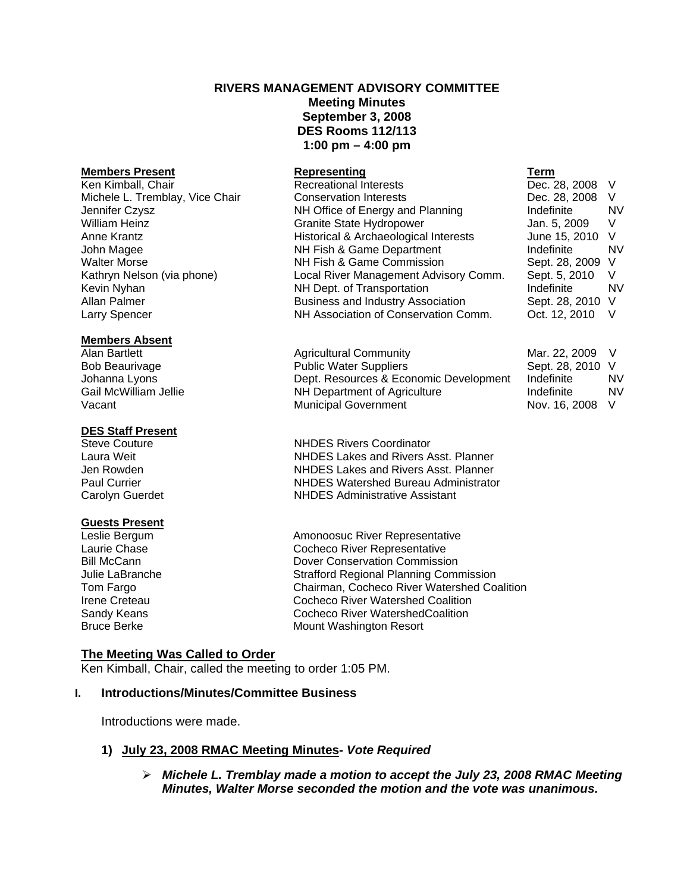# **RIVERS MANAGEMENT ADVISORY COMMITTEE Meeting Minutes September 3, 2008 DES Rooms 112/113 1:00 pm – 4:00 pm**

### **Members Absent**

#### **DES Staff Present**

# **Guests Present**

**Members Present Representing Term** Recreational Interests Michele L. Tremblay, Vice Chair Conservation Interests Dec. 28, 2008 V Jennifer Czysz NH Office of Energy and Planning Indefinite NV Granite State Hydropower Jan. 5, 2009 V Anne Krantz **Historical & Archaeological Interests** June 15, 2010 V John Magee NH Fish & Game Department Indefinite NV Walter Morse **NH Fish & Game Commission** Sept. 28, 2009 V Kathryn Nelson (via phone) Local River Management Advisory Comm. Sept. 5, 2010 V Kevin Nyhan NH Dept. of Transportation Indefinite NV Allan Palmer **Business and Industry Association** Business and Industry Association Larry Spencer **NH Association of Conservation Comm.** Oct. 12, 2010 V

Alan Bartlett **Alan Bartlett** Alan Bartlett Agricultural Community Bob Beaurivage **Public Water Suppliers** Johanna Lyons **Dept. Resources & Economic Development** Gail McWilliam Jellie **Numeric Australian Indefinite Indefinite** NV Department of Agriculture NH Department of Agriculture Vacant Municipal Government

Steve Couture **NHDES Rivers Coordinator** Laura Weit NHDES Lakes and Rivers Asst. Planner Jen Rowden NHDES Lakes and Rivers Asst. Planner Paul Currier NHDES Watershed Bureau Administrator Carolyn Guerdet NHDES Administrative Assistant

Leslie Bergum and Amonoosuc River Representative<br>
Laurie Chase **Amonoosuc River Representative**<br>
Cocheco River Representative Cocheco River Representative Bill McCann Dover Conservation Commission Julie LaBranche Strafford Regional Planning Commission Tom Fargo Chairman, Cocheco River Watershed Coalition Irene Creteau Cocheco River Watershed Coalition Sandy Keans **Collect Community** Cocheco River WatershedCoalition<br>
Bruce Berke **Collect Contract Contract Contract Contract Contract Contract Contract Contract Contract Contract Co Mount Washington Resort** 

# **The Meeting Was Called to Order**

Ken Kimball, Chair, called the meeting to order 1:05 PM.

# **I. Introductions/Minutes/Committee Business**

Introductions were made.

# **1) July 23, 2008 RMAC Meeting Minutes-** *Vote Required*

¾ *Michele L. Tremblay made a motion to accept the July 23, 2008 RMAC Meeting Minutes, Walter Morse seconded the motion and the vote was unanimous.* 

| Mar. 22, 2009  | V  |
|----------------|----|
| Sept. 28, 2010 | V  |
| Indefinite     | N٧ |
| Indefinite     | N٧ |
| Nov. 16, 2008  | V  |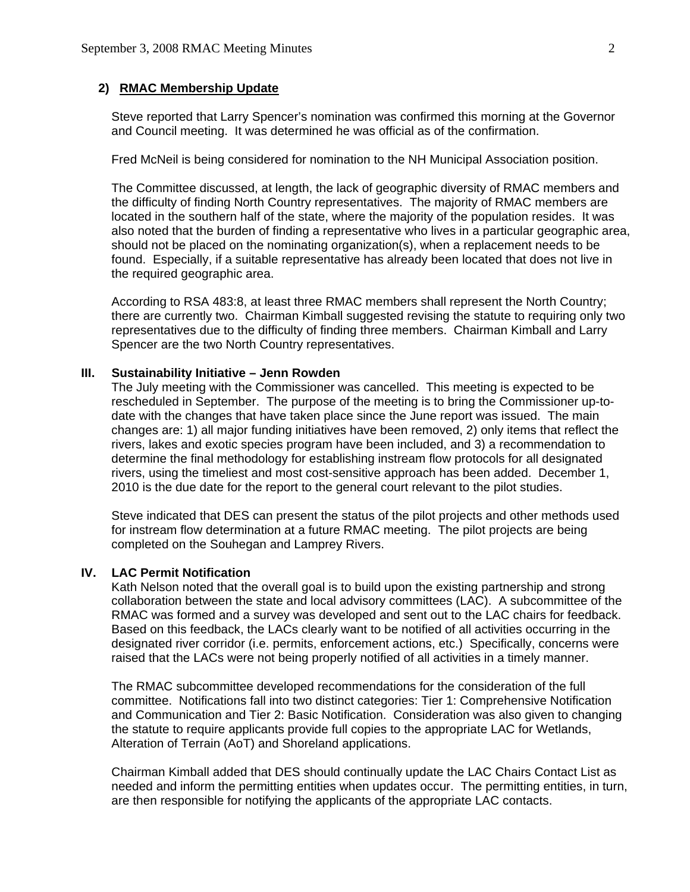## **2) RMAC Membership Update**

 Steve reported that Larry Spencer's nomination was confirmed this morning at the Governor and Council meeting. It was determined he was official as of the confirmation.

Fred McNeil is being considered for nomination to the NH Municipal Association position.

The Committee discussed, at length, the lack of geographic diversity of RMAC members and the difficulty of finding North Country representatives. The majority of RMAC members are located in the southern half of the state, where the majority of the population resides. It was also noted that the burden of finding a representative who lives in a particular geographic area, should not be placed on the nominating organization(s), when a replacement needs to be found. Especially, if a suitable representative has already been located that does not live in the required geographic area.

According to RSA 483:8, at least three RMAC members shall represent the North Country; there are currently two. Chairman Kimball suggested revising the statute to requiring only two representatives due to the difficulty of finding three members. Chairman Kimball and Larry Spencer are the two North Country representatives.

### **III. Sustainability Initiative – Jenn Rowden**

 The July meeting with the Commissioner was cancelled. This meeting is expected to be rescheduled in September. The purpose of the meeting is to bring the Commissioner up-todate with the changes that have taken place since the June report was issued. The main changes are: 1) all major funding initiatives have been removed, 2) only items that reflect the rivers, lakes and exotic species program have been included, and 3) a recommendation to determine the final methodology for establishing instream flow protocols for all designated rivers, using the timeliest and most cost-sensitive approach has been added. December 1, 2010 is the due date for the report to the general court relevant to the pilot studies.

 Steve indicated that DES can present the status of the pilot projects and other methods used for instream flow determination at a future RMAC meeting. The pilot projects are being completed on the Souhegan and Lamprey Rivers.

## **IV. LAC Permit Notification**

 Kath Nelson noted that the overall goal is to build upon the existing partnership and strong collaboration between the state and local advisory committees (LAC). A subcommittee of the RMAC was formed and a survey was developed and sent out to the LAC chairs for feedback. Based on this feedback, the LACs clearly want to be notified of all activities occurring in the designated river corridor (i.e. permits, enforcement actions, etc.) Specifically, concerns were raised that the LACs were not being properly notified of all activities in a timely manner.

 The RMAC subcommittee developed recommendations for the consideration of the full committee. Notifications fall into two distinct categories: Tier 1: Comprehensive Notification and Communication and Tier 2: Basic Notification. Consideration was also given to changing the statute to require applicants provide full copies to the appropriate LAC for Wetlands, Alteration of Terrain (AoT) and Shoreland applications.

 Chairman Kimball added that DES should continually update the LAC Chairs Contact List as needed and inform the permitting entities when updates occur. The permitting entities, in turn, are then responsible for notifying the applicants of the appropriate LAC contacts.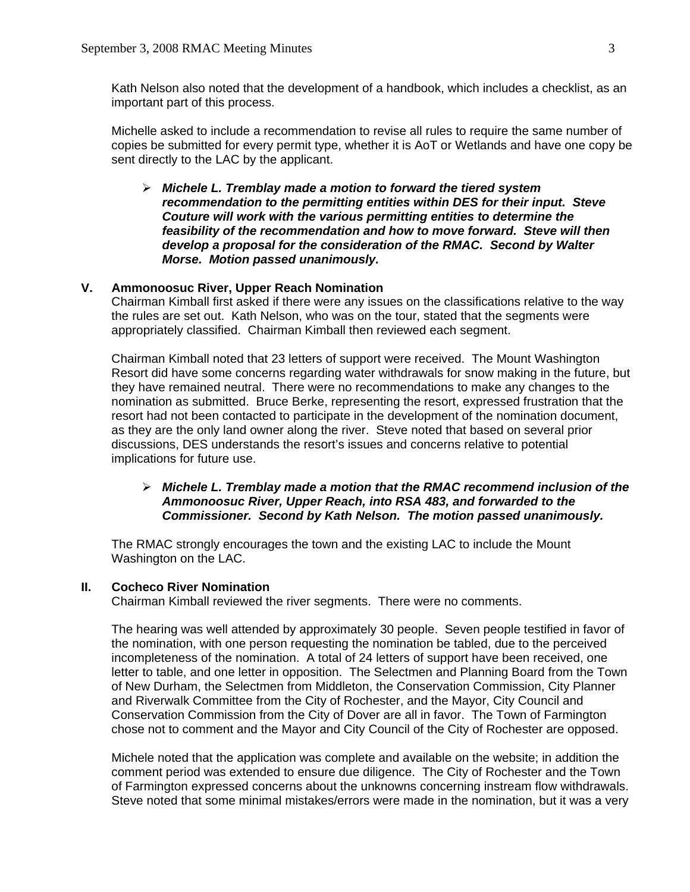Kath Nelson also noted that the development of a handbook, which includes a checklist, as an important part of this process.

 Michelle asked to include a recommendation to revise all rules to require the same number of copies be submitted for every permit type, whether it is AoT or Wetlands and have one copy be sent directly to the LAC by the applicant.

¾ *Michele L. Tremblay made a motion to forward the tiered system recommendation to the permitting entities within DES for their input. Steve Couture will work with the various permitting entities to determine the feasibility of the recommendation and how to move forward. Steve will then develop a proposal for the consideration of the RMAC. Second by Walter Morse. Motion passed unanimously.* 

# **V. Ammonoosuc River, Upper Reach Nomination**

 Chairman Kimball first asked if there were any issues on the classifications relative to the way the rules are set out. Kath Nelson, who was on the tour, stated that the segments were appropriately classified. Chairman Kimball then reviewed each segment.

 Chairman Kimball noted that 23 letters of support were received. The Mount Washington Resort did have some concerns regarding water withdrawals for snow making in the future, but they have remained neutral. There were no recommendations to make any changes to the nomination as submitted. Bruce Berke, representing the resort, expressed frustration that the resort had not been contacted to participate in the development of the nomination document, as they are the only land owner along the river. Steve noted that based on several prior discussions, DES understands the resort's issues and concerns relative to potential implications for future use.

# ¾ *Michele L. Tremblay made a motion that the RMAC recommend inclusion of the Ammonoosuc River, Upper Reach, into RSA 483, and forwarded to the Commissioner. Second by Kath Nelson. The motion passed unanimously.*

 The RMAC strongly encourages the town and the existing LAC to include the Mount Washington on the LAC.

### **II. Cocheco River Nomination**

Chairman Kimball reviewed the river segments. There were no comments.

 The hearing was well attended by approximately 30 people. Seven people testified in favor of the nomination, with one person requesting the nomination be tabled, due to the perceived incompleteness of the nomination. A total of 24 letters of support have been received, one letter to table, and one letter in opposition. The Selectmen and Planning Board from the Town of New Durham, the Selectmen from Middleton, the Conservation Commission, City Planner and Riverwalk Committee from the City of Rochester, and the Mayor, City Council and Conservation Commission from the City of Dover are all in favor. The Town of Farmington chose not to comment and the Mayor and City Council of the City of Rochester are opposed.

 Michele noted that the application was complete and available on the website; in addition the comment period was extended to ensure due diligence. The City of Rochester and the Town of Farmington expressed concerns about the unknowns concerning instream flow withdrawals. Steve noted that some minimal mistakes/errors were made in the nomination, but it was a very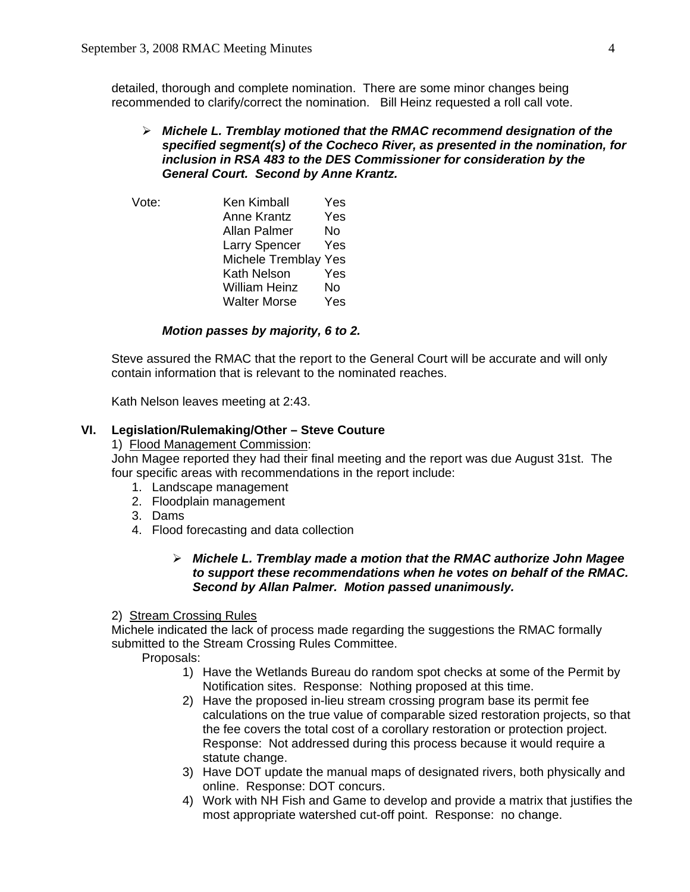detailed, thorough and complete nomination. There are some minor changes being recommended to clarify/correct the nomination. Bill Heinz requested a roll call vote.

# ¾ *Michele L. Tremblay motioned that the RMAC recommend designation of the specified segment(s) of the Cocheco River, as presented in the nomination, for inclusion in RSA 483 to the DES Commissioner for consideration by the General Court. Second by Anne Krantz.*

 Vote: Ken Kimball Yes Anne Krantz Yes Allan Palmer No Larry Spencer Yes Michele Tremblay Yes Kath Nelson Yes William Heinz No Walter Morse Yes

# *Motion passes by majority, 6 to 2.*

 Steve assured the RMAC that the report to the General Court will be accurate and will only contain information that is relevant to the nominated reaches.

Kath Nelson leaves meeting at 2:43.

## **VI. Legislation/Rulemaking/Other – Steve Couture**

# 1) Flood Management Commission:

John Magee reported they had their final meeting and the report was due August 31st. The four specific areas with recommendations in the report include:

- 1. Landscape management
- 2. Floodplain management
- 3. Dams
- 4. Flood forecasting and data collection

# ¾ *Michele L. Tremblay made a motion that the RMAC authorize John Magee to support these recommendations when he votes on behalf of the RMAC. Second by Allan Palmer. Motion passed unanimously.*

#### 2) Stream Crossing Rules

 Michele indicated the lack of process made regarding the suggestions the RMAC formally submitted to the Stream Crossing Rules Committee.

Proposals:

- 1) Have the Wetlands Bureau do random spot checks at some of the Permit by Notification sites. Response: Nothing proposed at this time.
- 2) Have the proposed in-lieu stream crossing program base its permit fee calculations on the true value of comparable sized restoration projects, so that the fee covers the total cost of a corollary restoration or protection project. Response: Not addressed during this process because it would require a statute change.
- 3) Have DOT update the manual maps of designated rivers, both physically and online. Response: DOT concurs.
- 4) Work with NH Fish and Game to develop and provide a matrix that justifies the most appropriate watershed cut-off point. Response: no change.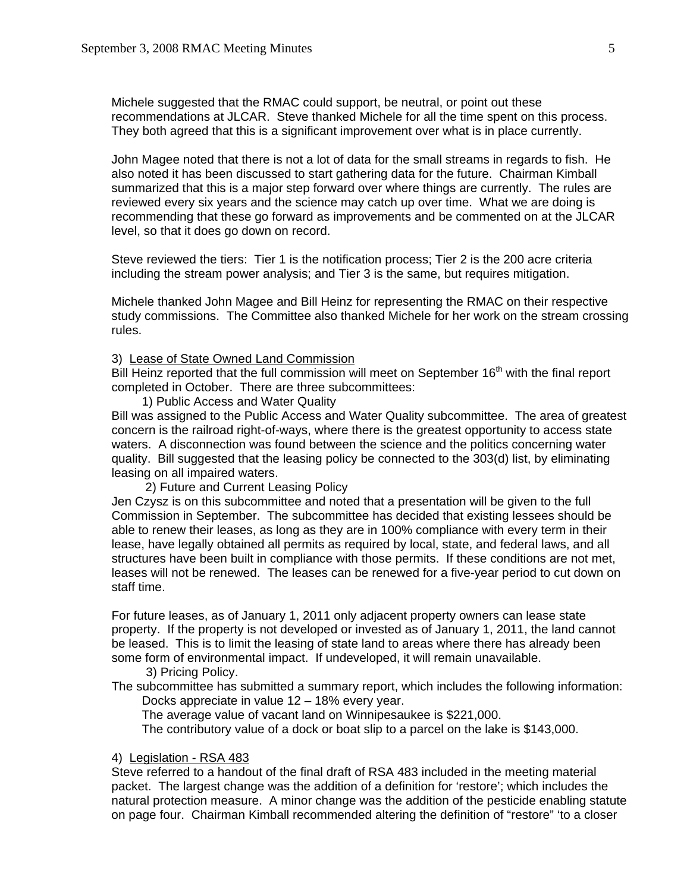Michele suggested that the RMAC could support, be neutral, or point out these recommendations at JLCAR. Steve thanked Michele for all the time spent on this process. They both agreed that this is a significant improvement over what is in place currently.

John Magee noted that there is not a lot of data for the small streams in regards to fish. He also noted it has been discussed to start gathering data for the future. Chairman Kimball summarized that this is a major step forward over where things are currently. The rules are reviewed every six years and the science may catch up over time. What we are doing is recommending that these go forward as improvements and be commented on at the JLCAR level, so that it does go down on record.

Steve reviewed the tiers: Tier 1 is the notification process; Tier 2 is the 200 acre criteria including the stream power analysis; and Tier 3 is the same, but requires mitigation.

Michele thanked John Magee and Bill Heinz for representing the RMAC on their respective study commissions. The Committee also thanked Michele for her work on the stream crossing rules.

### 3) Lease of State Owned Land Commission

Bill Heinz reported that the full commission will meet on September  $16<sup>th</sup>$  with the final report completed in October. There are three subcommittees:

1) Public Access and Water Quality

 Bill was assigned to the Public Access and Water Quality subcommittee. The area of greatest concern is the railroad right-of-ways, where there is the greatest opportunity to access state waters. A disconnection was found between the science and the politics concerning water quality. Bill suggested that the leasing policy be connected to the 303(d) list, by eliminating leasing on all impaired waters.

2) Future and Current Leasing Policy

Jen Czysz is on this subcommittee and noted that a presentation will be given to the full Commission in September. The subcommittee has decided that existing lessees should be able to renew their leases, as long as they are in 100% compliance with every term in their lease, have legally obtained all permits as required by local, state, and federal laws, and all structures have been built in compliance with those permits. If these conditions are not met, leases will not be renewed. The leases can be renewed for a five-year period to cut down on staff time.

For future leases, as of January 1, 2011 only adjacent property owners can lease state property. If the property is not developed or invested as of January 1, 2011, the land cannot be leased. This is to limit the leasing of state land to areas where there has already been some form of environmental impact. If undeveloped, it will remain unavailable.

3) Pricing Policy.

 The subcommittee has submitted a summary report, which includes the following information: Docks appreciate in value 12 – 18% every year.

The average value of vacant land on Winnipesaukee is \$221,000.

The contributory value of a dock or boat slip to a parcel on the lake is \$143,000.

# 4) Legislation - RSA 483

 Steve referred to a handout of the final draft of RSA 483 included in the meeting material packet. The largest change was the addition of a definition for 'restore'; which includes the natural protection measure. A minor change was the addition of the pesticide enabling statute on page four. Chairman Kimball recommended altering the definition of "restore" 'to a closer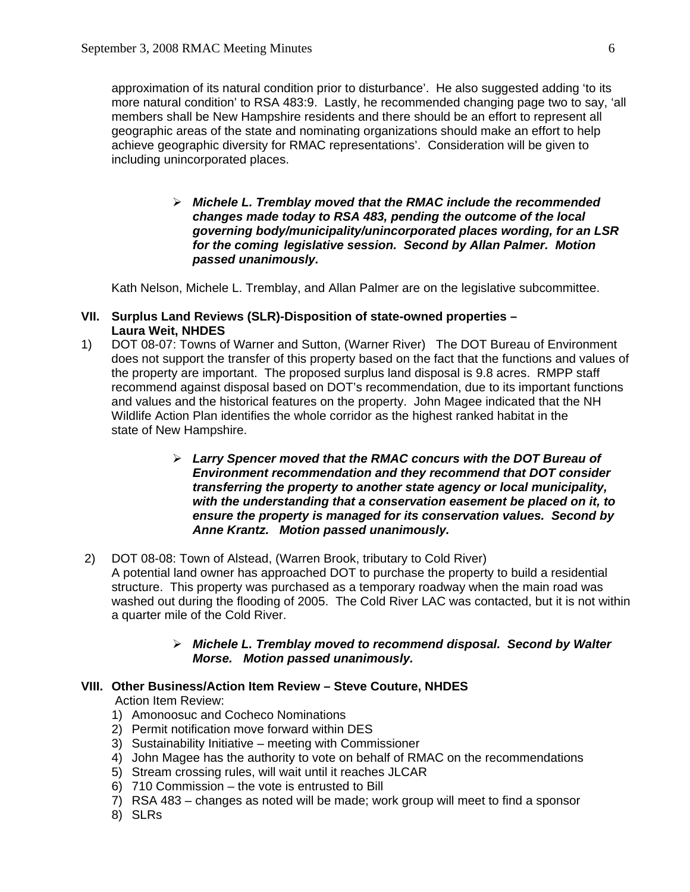approximation of its natural condition prior to disturbance'. He also suggested adding 'to its more natural condition' to RSA 483:9. Lastly, he recommended changing page two to say, 'all members shall be New Hampshire residents and there should be an effort to represent all geographic areas of the state and nominating organizations should make an effort to help achieve geographic diversity for RMAC representations'. Consideration will be given to including unincorporated places.

> ¾ *Michele L. Tremblay moved that the RMAC include the recommended changes made today to RSA 483, pending the outcome of the local governing body/municipality/unincorporated places wording, for an LSR for the coming legislative session. Second by Allan Palmer. Motion passed unanimously.*

Kath Nelson, Michele L. Tremblay, and Allan Palmer are on the legislative subcommittee.

# **VII. Surplus Land Reviews (SLR)-Disposition of state-owned properties – Laura Weit, NHDES**

- 1) DOT 08-07: Towns of Warner and Sutton, (Warner River) The DOT Bureau of Environment does not support the transfer of this property based on the fact that the functions and values of the property are important. The proposed surplus land disposal is 9.8 acres. RMPP staff recommend against disposal based on DOT's recommendation, due to its important functions and values and the historical features on the property. John Magee indicated that the NH Wildlife Action Plan identifies the whole corridor as the highest ranked habitat in the state of New Hampshire.
	- ¾ *Larry Spencer moved that the RMAC concurs with the DOT Bureau of Environment recommendation and they recommend that DOT consider transferring the property to another state agency or local municipality, with the understanding that a conservation easement be placed on it, to ensure the property is managed for its conservation values. Second by Anne Krantz. Motion passed unanimously.*
- 2) DOT 08-08: Town of Alstead, (Warren Brook, tributary to Cold River) A potential land owner has approached DOT to purchase the property to build a residential structure. This property was purchased as a temporary roadway when the main road was washed out during the flooding of 2005. The Cold River LAC was contacted, but it is not within a quarter mile of the Cold River.

# ¾ *Michele L. Tremblay moved to recommend disposal. Second by Walter Morse. Motion passed unanimously.*

# **VIII. Other Business/Action Item Review – Steve Couture, NHDES**

Action Item Review:

- 1) Amonoosuc and Cocheco Nominations
- 2) Permit notification move forward within DES
- 3) Sustainability Initiative meeting with Commissioner
- 4) John Magee has the authority to vote on behalf of RMAC on the recommendations
- 5) Stream crossing rules, will wait until it reaches JLCAR
- 6) 710 Commission the vote is entrusted to Bill
- 7) RSA 483 changes as noted will be made; work group will meet to find a sponsor
- 8) SLRs